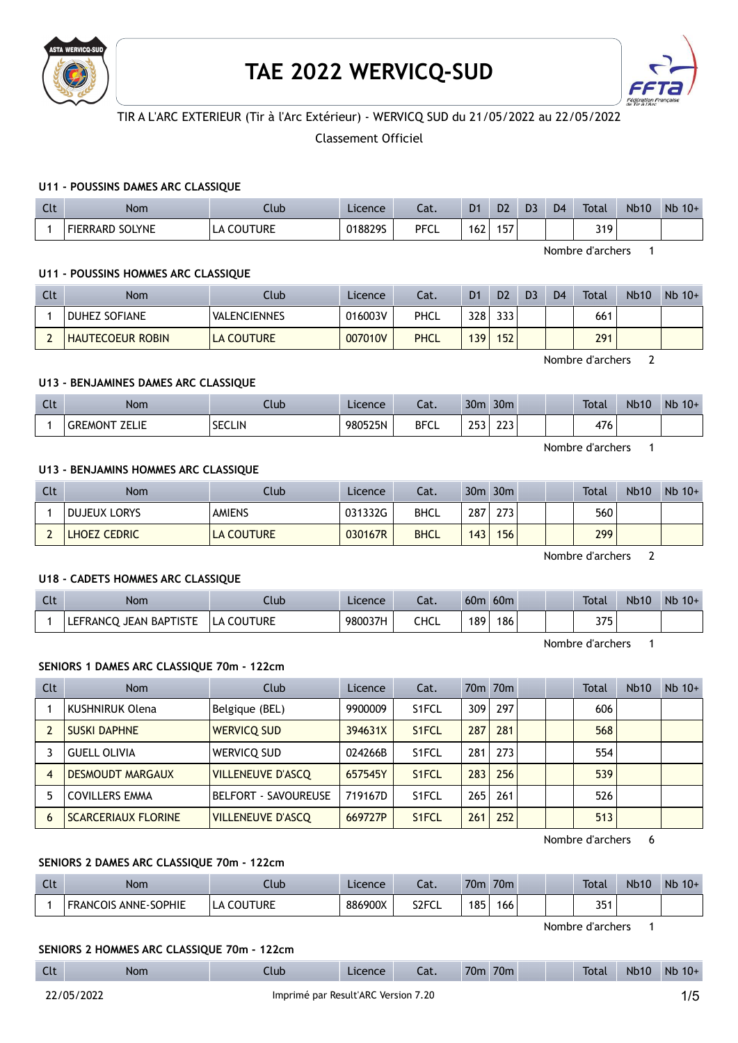

# TAE 2022 WERVICQ-SUD



# TIR A L'ARC EXTERIEUR (Tir à l'Arc Extérieur) - WERVICQ SUD du 21/05/2022 au 22/05/2022

Classement Officiel

# U11 - POUSSINS DAMES ARC CLASSIQUE

| Clt | Nom                    | Llub.                | Licence | Cat.        | D <sub>1</sub> | D <sub>2</sub> | D <sub>3</sub> | D <sub>4</sub> | Total | <b>Nb10</b> | N <sub>b</sub><br>$10+$ |
|-----|------------------------|----------------------|---------|-------------|----------------|----------------|----------------|----------------|-------|-------------|-------------------------|
|     | <b>FIERRARD SOLYNE</b> | <b>COUTURE</b><br>LA | 0188295 | <b>PFCL</b> | 162            | 157            |                |                | 319   |             |                         |

Nombre d'archers 1

## U11 - POUSSINS HOMMES ARC CLASSIQUE

| <b>Clt</b> | Nom                     | Club                | Licence | Cat.        | D1               | D <sub>2</sub> | D <sub>3</sub> | D <sub>4</sub> | Total | <b>Nb10</b> | $Nb$ 10+ |
|------------|-------------------------|---------------------|---------|-------------|------------------|----------------|----------------|----------------|-------|-------------|----------|
|            | <b>DUHEZ SOFIANE</b>    | <b>VALENCIENNES</b> | 016003V | PHCL        | 328              | 333            |                |                | 661   |             |          |
|            | <b>HAUTECOEUR ROBIN</b> | <b>LA COUTURE</b>   | 007010V | <b>PHCL</b> | 139 <sub>1</sub> | 152            |                |                | 291   |             |          |

Nombre d'archers 2

## U13 - BENJAMINES DAMES ARC CLASSIQUE

| $\sim$<br><b>CLC</b> | Nom                     | Jub.          | Licence | $\sim$<br>cal. | 30 <sub>m</sub> | 30 <sub>m</sub> |  | <b>Total</b> | <b>Nb10</b> | <b>Nb</b><br>$10+$ |
|----------------------|-------------------------|---------------|---------|----------------|-----------------|-----------------|--|--------------|-------------|--------------------|
|                      | .<br>GREM<br>1N.<br>--- | <b>SECLIN</b> | 980525N | <b>BFCL</b>    | 200<br>---      | $\sim$<br>ᄼ     |  | 476          |             |                    |

Nombre d'archers 1

# U13 - BENJAMINS HOMMES ARC CLASSIQUE

| Clt | Nom                 | Club              | Licence | Cat.        |     | $30m$ $30m$ |  | Total | <b>Nb10</b> | $Nb$ 10+ |
|-----|---------------------|-------------------|---------|-------------|-----|-------------|--|-------|-------------|----------|
|     | <b>DUJEUX LORYS</b> | <b>AMIENS</b>     | 031332G | <b>BHCL</b> | 287 | 273         |  | 560   |             |          |
|     | <b>LHOEZ CEDRIC</b> | <b>LA COUTURE</b> | 030167R | <b>BHCL</b> | 143 | 156         |  | 299   |             |          |

Nombre d'archers 2

# U18 - CADETS HOMMES ARC CLASSIQUE

| Clt | Nom                       | Club       | Licence | Cat. | 60 <sub>m</sub> | 60 <sub>m</sub> |  | <b>Total</b> | <b>Nb10</b> | <b>N<sub>b</sub></b><br>$10+$ |
|-----|---------------------------|------------|---------|------|-----------------|-----------------|--|--------------|-------------|-------------------------------|
|     | JEAN BAPTISTE<br>LEFRANCO | LA COUTURE | 980037H | CHCL | 189             | 186             |  | つつに<br>ر رد  |             |                               |

Nombre d'archers 1

## SENIORS 1 DAMES ARC CLASSIQUE 70m - 122cm

| Clt | Nom                        | Club                        | <b>Licence</b> | Cat.               |     | 70 <sub>m</sub> 70 <sub>m</sub> |  | Total | <b>Nb10</b> | $Nb$ 10+ |
|-----|----------------------------|-----------------------------|----------------|--------------------|-----|---------------------------------|--|-------|-------------|----------|
|     | KUSHNIRUK Olena            | Belgique (BEL)              | 9900009        | S <sub>1</sub> FCL | 309 | 297                             |  | 606   |             |          |
|     | <b>SUSKI DAPHNE</b>        | <b>WERVICO SUD</b>          | 394631X        | S <sub>1</sub> FCL | 287 | 281                             |  | 568   |             |          |
|     | <b>GUELL OLIVIA</b>        | WERVICQ SUD                 | 024266B        | S1FCL              | 281 | 273                             |  | 554   |             |          |
| 4   | <b>DESMOUDT MARGAUX</b>    | <b>VILLENEUVE D'ASCO</b>    | 657545Y        | S <sub>1</sub> FCL | 283 | 256                             |  | 539   |             |          |
|     | <b>COVILLERS EMMA</b>      | <b>BELFORT - SAVOUREUSE</b> | 719167D        | S1FCL              | 265 | 261                             |  | 526   |             |          |
| 6   | <b>SCARCERIAUX FLORINE</b> | <b>VILLENEUVE D'ASCO</b>    | 669727P        | S <sub>1</sub> FCL | 261 | 252                             |  | 513   |             |          |

Nombre d'archers 6

# SENIORS 2 DAMES ARC CLASSIQUE 70m - 122cm

| $\sim$<br>uu | Nom                            | .tub    | Licence | $\sim$<br>Jal.     | 70 <sub>m</sub> | 70 <sub>m</sub> |  | <b>Total</b>       | <b>Nb10</b> | <b>Nb</b><br>$10+$ |
|--------------|--------------------------------|---------|---------|--------------------|-----------------|-----------------|--|--------------------|-------------|--------------------|
|              | ANNE-SOPHIE<br><b>FRANCOIS</b> | Couture | 886900X | S <sub>2</sub> FCL | 185             | 166             |  | $2F \cdot$<br>35 T |             |                    |

Nombre d'archers 1

## SENIORS 2 HOMMES ARC CLASSIQUE 70m - 122cm

| Clt | Nom        | Ilub                                | Licence | Cat. | 70 <sub>m</sub><br>70 <sub>m</sub> | <b>Total</b> | <b>Nb10</b> | $Nb 10+$ |
|-----|------------|-------------------------------------|---------|------|------------------------------------|--------------|-------------|----------|
|     | 22/05/2022 | Imprimé par Result'ARC Version 7.20 |         |      |                                    |              |             | 1/5      |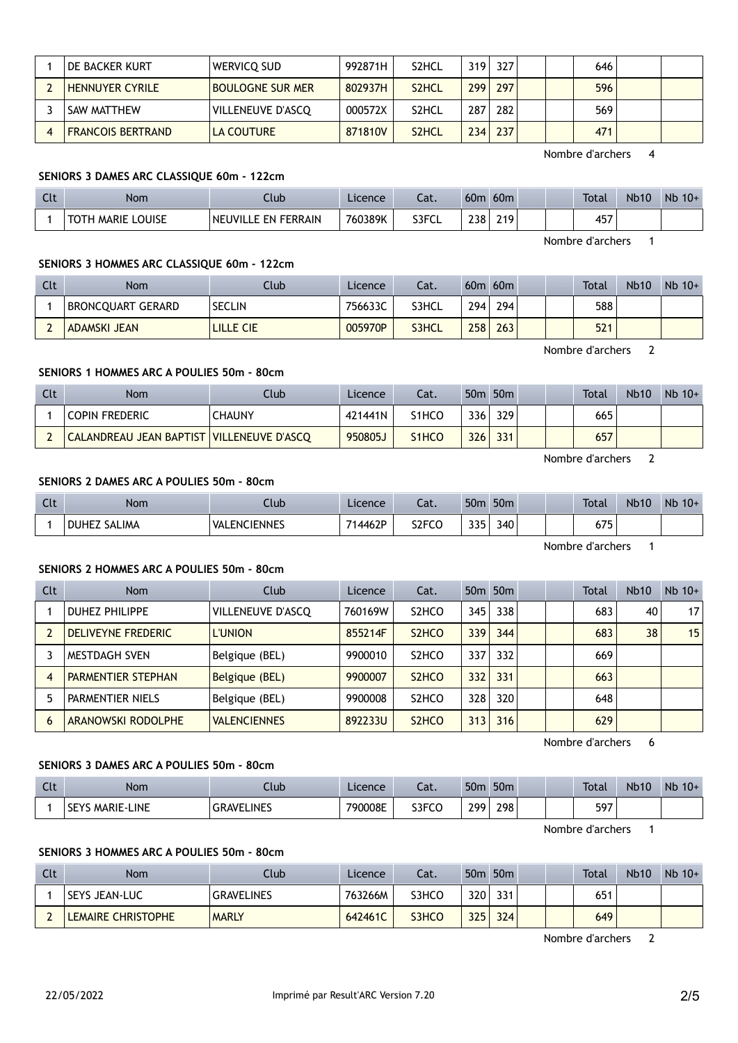|   | DE BACKER KURT!          | WERVICO SUD             | 992871H | S <sub>2</sub> HCL | 319. | 327 | 646 |  |
|---|--------------------------|-------------------------|---------|--------------------|------|-----|-----|--|
|   | <b>HENNUYER CYRILE</b>   | <b>BOULOGNE SUR MER</b> | 802937H | S <sub>2</sub> HCL | 299  | 297 | 596 |  |
|   | SAW MATTHEW              | VILLENEUVE D'ASCO       | 000572X | S2HCL              | 287  | 282 | 569 |  |
| 4 | <b>FRANCOIS BERTRAND</b> | LA COUTURE              | 871810V | S <sub>2</sub> HCL | 234  | 237 | 471 |  |
|   |                          |                         |         |                    |      |     |     |  |

Nombre d'archers 4

# SENIORS 3 DAMES ARC CLASSIQUE 60m - 122cm

| Clt | Nom                         | Ilub                | Licence | ົາ <del>1</del><br>cal. | 60 <sub>0</sub> | 60 <sub>m</sub> |  | <b>Total</b> | <b>Nb10</b> | Nb<br>$10+$ |
|-----|-----------------------------|---------------------|---------|-------------------------|-----------------|-----------------|--|--------------|-------------|-------------|
|     | <b>MARIE LOUISE</b><br>тотн | NEUVILLE EN FERRAIN | 760389K | S3FCL                   | 238             | 219             |  | 457          |             |             |

Nombre d'archers 1

# SENIORS 3 HOMMES ARC CLASSIQUE 60m - 122cm

| Clt | <b>Nom</b>               | Club.         | Licence | Cat.  | 60m | 60m |  | Total | <b>Nb10</b> | $Nb$ 10+ |
|-----|--------------------------|---------------|---------|-------|-----|-----|--|-------|-------------|----------|
|     | <b>BRONCQUART GERARD</b> | <b>SECLIN</b> | 756633C | S3HCL | 294 | 294 |  | 588   |             |          |
|     | ADAMSKI JEAN             | LILLE CIE     | 005970P | S3HCL | 258 | 263 |  | 521   |             |          |

Nombre d'archers 2

# SENIORS 1 HOMMES ARC A POULIES 50m - 80cm

| Clt | <b>Nom</b>                                | Club   | Licence | Cat.                           |     | 50 <sub>m</sub> 50 <sub>m</sub> | Total | <b>Nb10</b> | $Nb$ 10+ |
|-----|-------------------------------------------|--------|---------|--------------------------------|-----|---------------------------------|-------|-------------|----------|
|     | <b>COPIN FREDERIC</b>                     | CHAUNY | 421441N | S1HCO                          | 336 | 329                             | 665   |             |          |
|     | CALANDREAU JEAN BAPTIST VILLENEUVE D'ASCQ |        | 950805J | S <sub>1</sub> HC <sub>O</sub> | 326 | 331                             | 657   |             |          |

Nombre d'archers 2

# SENIORS 2 DAMES ARC A POULIES 50m - 80cm

| <b>Clt</b> | Nom                           | Ilub                            | Licence | in the set<br>cal. | 50n                 | 50 <sub>m</sub> |  | <b>Total</b> | <b>Nb10</b> | Nb<br>$10+$ |
|------------|-------------------------------|---------------------------------|---------|--------------------|---------------------|-----------------|--|--------------|-------------|-------------|
|            | <b>DUHEZ</b><br><b>SALIMA</b> | <b>ENCIENNES</b><br><b>VALL</b> | 714462P | S <sub>2</sub> FCO | 335<br>JJJ <b>J</b> | 340             |  | 675<br>U / J |             |             |

Nombre d'archers 1

# SENIORS 2 HOMMES ARC A POULIES 50m - 80cm

| Clt | <b>Nom</b>                | Club                | <b>Licence</b> | Cat.                           |     | 50 <sub>m</sub> 50 <sub>m</sub> |  | Total | <b>Nb10</b> | $Nb$ 10+        |
|-----|---------------------------|---------------------|----------------|--------------------------------|-----|---------------------------------|--|-------|-------------|-----------------|
|     | <b>DUHEZ PHILIPPE</b>     | VILLENEUVE D'ASCO   | 760169W        | S <sub>2</sub> HCO             | 345 | 338                             |  | 683   | 40          | 17 <sup>1</sup> |
|     | DELIVEYNE FREDERIC        | <b>L'UNION</b>      | 855214F        | S <sub>2</sub> H <sub>CO</sub> | 339 | 344                             |  | 683   | 38          | 15              |
|     | <b>MESTDAGH SVEN</b>      | Belgique (BEL)      | 9900010        | S <sub>2</sub> HCO             | 337 | 332                             |  | 669   |             |                 |
| 4   | <b>PARMENTIER STEPHAN</b> | Belgique (BEL)      | 9900007        | S <sub>2</sub> H <sub>CO</sub> | 332 | 331                             |  | 663   |             |                 |
|     | PARMENTIER NIELS          | Belgique (BEL)      | 9900008        | S <sub>2</sub> HCO             | 328 | 320                             |  | 648   |             |                 |
| b   | ARANOWSKI RODOLPHE        | <b>VALENCIENNES</b> | 892233U        | S <sub>2</sub> H <sub>CO</sub> | 313 | 316                             |  | 629   |             |                 |

Nombre d'archers 6

# SENIORS 3 DAMES ARC A POULIES 50m - 80cm

| Clt | <b>Nom</b>                   | .lub.             | Licence | $\sim$<br>cal. | 50n | 50 <sub>m</sub> |  | <b>Total</b> | <b>Nb10</b> | Nb<br>$10+$ |
|-----|------------------------------|-------------------|---------|----------------|-----|-----------------|--|--------------|-------------|-------------|
|     | LINE<br><b>MARIE-I</b><br>ЪE | <b>GRAVELINES</b> | 790008E | S3FCO          | 299 | 298             |  | 597          |             |             |

Nombre d'archers 1

# SENIORS 3 HOMMES ARC A POULIES 50m - 80cm

| Clt | Nom                       | Club              | Licence | Cat.  |     | 50 <sub>m</sub> 50 <sub>m</sub> |  | Total | <b>Nb10</b> | $Nb$ 10+ |
|-----|---------------------------|-------------------|---------|-------|-----|---------------------------------|--|-------|-------------|----------|
|     | <b>SEYS JEAN-LUC</b>      | <b>GRAVELINES</b> | 763266M | S3HCO | 320 | 331                             |  | 651   |             |          |
|     | <b>LEMAIRE CHRISTOPHE</b> | <b>MARLY</b>      | 642461C | S3HCO | 325 | 324                             |  | 649   |             |          |

Nombre d'archers 2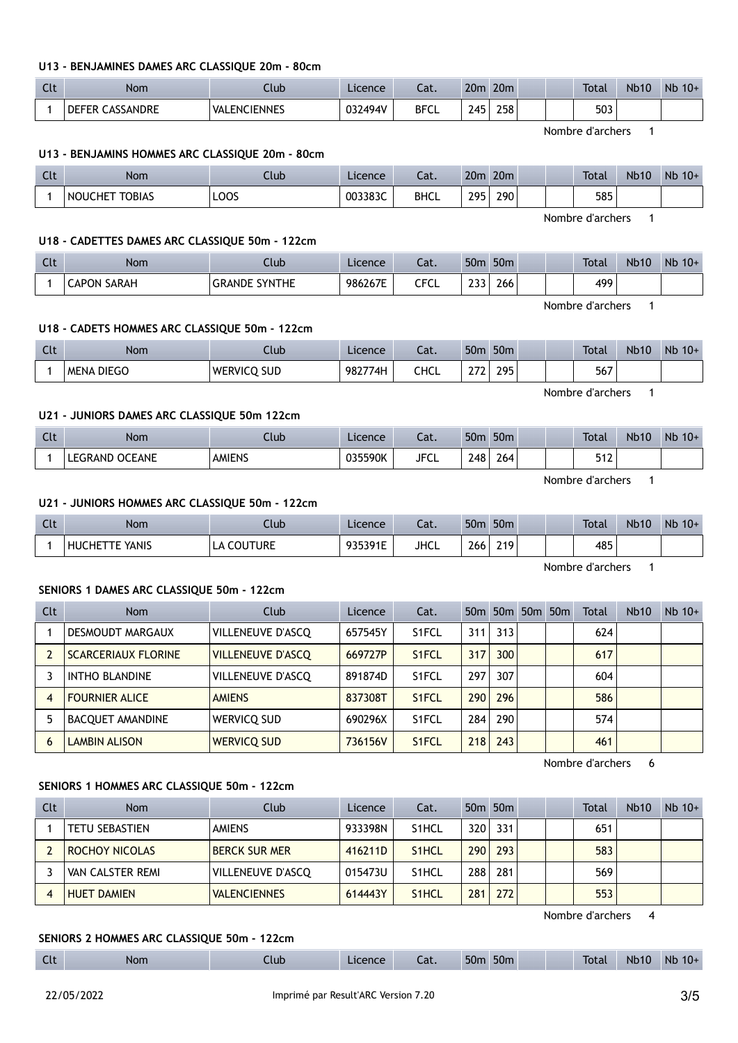## U13 - BENJAMINES DAMES ARC CLASSIQUE 20m - 80cm

| $\sim$<br>. . | Nom                | Jlub                | Licence | $\sim$<br>∟aι. | 20 <sub>m</sub> | 20 <sub>m</sub> | <b>Total</b> | <b>Nb10</b> | Nb<br>$10+$ |
|---------------|--------------------|---------------------|---------|----------------|-----------------|-----------------|--------------|-------------|-------------|
|               | CASSANDRE<br>DEFER | <b>VALENCIENNES</b> | 032494V | <b>BFCL</b>    | 245<br><u>.</u> | 258             | 503          |             |             |

Nombre d'archers 1

## U13 - BENJAMINS HOMMES ARC CLASSIQUE 20m - 80cm

| Clt | <b>Nom</b>                           | $\mathsf{Jub}$ | Licence | $\sim$<br>cal. | 20 <sub>m</sub>     | 20 <sub>m</sub> |  | <b>Total</b> | <b>Nb10</b> | <b>Nb</b><br>$10+$ |
|-----|--------------------------------------|----------------|---------|----------------|---------------------|-----------------|--|--------------|-------------|--------------------|
|     | <b>TOBIAS</b><br><b>NOUC</b><br>CHE. | LOOS           | 003383C | <b>BHCL</b>    | 295<br><u>_ , ,</u> | 290             |  | 585          |             |                    |

Nombre d'archers 1

## U18 - CADETTES DAMES ARC CLASSIQUE 50m - 122cm

| Clt | Nom                | Llub                      | Licence | $\sim$<br>-aι. | 50 <sub>m</sub> | 50 <sub>m</sub> | <b>Total</b> | <b>Nb10</b> | Nb<br>$10+$ |
|-----|--------------------|---------------------------|---------|----------------|-----------------|-----------------|--------------|-------------|-------------|
|     | <b>CAPON SARAH</b> | <b>GRANDE</b><br>: Synthe | 986267E | CECI<br>◡<br>ີ | ີ<br>ر ر_       | 266             | 499          |             |             |

Nombre d'archers 1

## U18 - CADETS HOMMES ARC CLASSIQUE 50m - 122cm

| C14<br><b>CLC</b> | <b>Nom</b>           | .lub                       | $c$ ence<br>LIC€ | $\sim$<br>Jal. | <b>50n</b>      | 50 <sub>m</sub> |  | <b>Total</b>  | <b>Nb10</b> | $10+$<br><b>ND</b> |
|-------------------|----------------------|----------------------------|------------------|----------------|-----------------|-----------------|--|---------------|-------------|--------------------|
|                   | <b>DIEGO</b><br>MENA | <b>SUD</b><br>TRVII.<br>WF | 98277<br>74F     | חשר<br>⊾⊓∪     | $\sim$ - $\sim$ | วดธ<br>- - -    |  | - - -<br>ו סכ |             |                    |

U21 - JUNIORS DAMES ARC CLASSIQUE 50m 122cm

| $\sim$<br><b>CLL</b> | Nom                      | Club          | Licence | $\sim$<br>Jal. | 50 <sub>m</sub> | 50 <sub>m</sub> | <b>Total</b>     | <b>Nb10</b> | <b>N<sub>b</sub></b><br>$10+$ |
|----------------------|--------------------------|---------------|---------|----------------|-----------------|-----------------|------------------|-------------|-------------------------------|
|                      | <b>OCEANE</b><br>LEGRAND | <b>AMIENS</b> | 035590K | <b>JFCL</b>    | 248             | 264             | <b>سم</b><br>JIL |             |                               |

Nombre d'archers 1

Nombre d'archers 1

Nombre d'archers 1

## U21 - JUNIORS HOMMES ARC CLASSIQUE 50m - 122cm

| $\sim$<br><b>CLL</b> | <b>Nom</b>               | Llub                | Licence           | Cat.        | 50 <sub>m</sub> | 50 <sub>m</sub>  |  | <b>Total</b> | <b>Nb10</b> | Nb<br>$10+$ |
|----------------------|--------------------------|---------------------|-------------------|-------------|-----------------|------------------|--|--------------|-------------|-------------|
|                      | e Yanis<br><b>HUCHET</b> | <b>COUTURE</b><br>Δ | 0252015<br>,,,,,, | <b>JHCL</b> | 266             | 219 <sub>1</sub> |  | 485          |             |             |

#### SENIORS 1 DAMES ARC CLASSIQUE 50m - 122cm

| <b>Clt</b> | Nom                        | Club                     | <b>Licence</b> | Cat.               |     |     | 50m 50m 50m 50m | Total | <b>Nb10</b> | $Nb$ 10+ |
|------------|----------------------------|--------------------------|----------------|--------------------|-----|-----|-----------------|-------|-------------|----------|
|            | DESMOUDT MARGAUX           | VILLENEUVE D'ASCQ        | 657545Y        | S <sub>1</sub> FCL | 311 | 313 |                 | 624   |             |          |
|            | <b>SCARCERIAUX FLORINE</b> | <b>VILLENEUVE D'ASCO</b> | 669727P        | S <sub>1</sub> FCL | 317 | 300 |                 | 617   |             |          |
|            | <b>INTHO BLANDINE</b>      | VILLENEUVE D'ASCQ        | 891874D        | S <sub>1</sub> FCL | 297 | 307 |                 | 604   |             |          |
| 4          | <b>FOURNIER ALICE</b>      | <b>AMIENS</b>            | 837308T        | S <sub>1</sub> FCL | 290 | 296 |                 | 586   |             |          |
|            | <b>BACQUET AMANDINE</b>    | WERVICQ SUD              | 690296X        | S <sub>1</sub> FCL | 284 | 290 |                 | 574   |             |          |
| h          | <b>LAMBIN ALISON</b>       | <b>WERVICO SUD</b>       | 736156V        | S <sub>1</sub> FCL | 218 | 243 |                 | 461   |             |          |

Nombre d'archers 6

## SENIORS 1 HOMMES ARC CLASSIQUE 50m - 122cm

| Clt | <b>Nom</b>            | Club                 | Licence | Cat.               |                  | 50 <sub>m</sub> 50 <sub>m</sub> |  | Total | <b>Nb10</b> | $Nb$ 10+ |
|-----|-----------------------|----------------------|---------|--------------------|------------------|---------------------------------|--|-------|-------------|----------|
|     | <b>TETU SEBASTIEN</b> | <b>AMIENS</b>        | 933398N | S <sub>1</sub> HCL | 320 <sup>1</sup> | 331                             |  | 651   |             |          |
|     | ROCHOY NICOLAS        | <b>BERCK SUR MER</b> | 416211D | S <sub>1</sub> HCL | 290              | 293                             |  | 583   |             |          |
|     | VAN CALSTER REMI      | VILLENEUVE D'ASCO    | 015473U | S <sub>1</sub> HCL | 288              | 281                             |  | 569   |             |          |
|     | <b>HUET DAMIEN</b>    | <b>VALENCIENNES</b>  | 614443Y | S <sub>1</sub> HCL | 281              | 272                             |  | 553   |             |          |

Nombre d'archers 4

#### SENIORS 2 HOMMES ARC CLASSIQUE 50m - 122cm

| $\mathsf{C}$<br><b>CLC</b> | <b>Nor</b><br>$\cdot$ | .lub | cence | $-1$<br>Lal. | 50m | 50 <sub>m</sub> |  | Tota | Nb <sub>10</sub> | <b>Nb</b><br>10+ |
|----------------------------|-----------------------|------|-------|--------------|-----|-----------------|--|------|------------------|------------------|
|                            |                       |      |       |              |     |                 |  |      |                  |                  |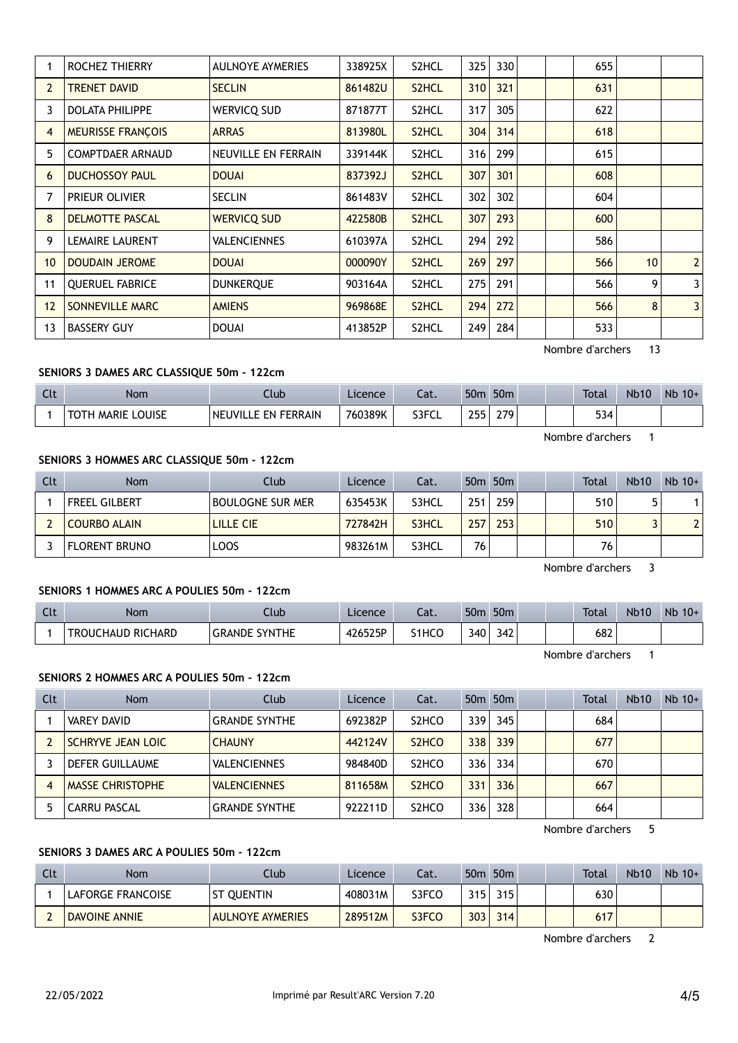|                | ROCHEZ THIERRY           | <b>AULNOYE AYMERIES</b> | 338925X | S2HCL              | 325 | 330 |  | 655 |    |                |
|----------------|--------------------------|-------------------------|---------|--------------------|-----|-----|--|-----|----|----------------|
| $\overline{2}$ | <b>TRENET DAVID</b>      | <b>SECLIN</b>           | 861482U | S <sub>2</sub> HCL | 310 | 321 |  | 631 |    |                |
| 3              | <b>DOLATA PHILIPPE</b>   | WERVICQ SUD             | 871877T | S2HCL              | 317 | 305 |  | 622 |    |                |
| $\overline{4}$ | <b>MEURISSE FRANÇOIS</b> | <b>ARRAS</b>            | 813980L | S <sub>2</sub> HCL | 304 | 314 |  | 618 |    |                |
| 5              | <b>COMPTDAER ARNAUD</b>  | NEUVILLE EN FERRAIN     | 339144K | S2HCL              | 316 | 299 |  | 615 |    |                |
| 6              | <b>DUCHOSSOY PAUL</b>    | <b>DOUAI</b>            | 837392J | S2HCL              | 307 | 301 |  | 608 |    |                |
| 7              | PRIEUR OLIVIER           | <b>SECLIN</b>           | 861483V | S2HCL              | 302 | 302 |  | 604 |    |                |
| 8              | <b>DELMOTTE PASCAL</b>   | <b>WERVICQ SUD</b>      | 422580B | S <sub>2</sub> HCL | 307 | 293 |  | 600 |    |                |
| 9              | <b>LEMAIRE LAURENT</b>   | <b>VALENCIENNES</b>     | 610397A | S2HCL              | 294 | 292 |  | 586 |    |                |
| 10             | <b>DOUDAIN JEROME</b>    | <b>DOUAI</b>            | 000090Y | S <sub>2</sub> HCL | 269 | 297 |  | 566 | 10 | $\overline{2}$ |
| 11             | <b>OUERUEL FABRICE</b>   | <b>DUNKERQUE</b>        | 903164A | S2HCL              | 275 | 291 |  | 566 | 9  | 3              |
| 12             | SONNEVILLE MARC          | <b>AMIENS</b>           | 969868E | S2HCL              | 294 | 272 |  | 566 | 8  | 3              |
| 13             | <b>BASSERY GUY</b>       | <b>DOUAI</b>            | 413852P | S2HCL              | 249 | 284 |  | 533 |    |                |
|                |                          |                         |         |                    |     |     |  |     |    |                |

Nombre d'archers 13

# SENIORS 3 DAMES ARC CLASSIQUE 50m - 122cm

| Clt | Nom               | Club                | Licence | Cat.  | 50 <sub>m</sub> | 50 <sub>m</sub> | <b>Total</b>     | <b>Nb10</b> | $Nb$ 10+ |
|-----|-------------------|---------------------|---------|-------|-----------------|-----------------|------------------|-------------|----------|
|     | TOTH MARIE LOUISE | NEUVILLE EN FERRAIN | 760389K | S3FCL | 255             | 279             | 534              |             |          |
|     |                   |                     |         |       |                 |                 | Nombre d'archers |             |          |

## SENIORS 3 HOMMES ARC CLASSIQUE 50m - 122cm

| Clt | Nom                  | Club                    | Licence | Cat.  |     | 50 <sub>m</sub> 50 <sub>m</sub> |  | Total | <b>Nb10</b> | $Nb$ 10+          |
|-----|----------------------|-------------------------|---------|-------|-----|---------------------------------|--|-------|-------------|-------------------|
|     | <b>FREEL GILBERT</b> | <b>BOULOGNE SUR MER</b> | 635453K | S3HCL | 251 | 259                             |  | 510   |             |                   |
|     | <b>COURBO ALAIN</b>  | LILLE CIE               | 727842H | S3HCL | 257 | 253                             |  | 510   |             | $\mathbf{\hat{}}$ |
|     | <b>FLORENT BRUNO</b> | LOOS                    | 983261M | S3HCL | 76  |                                 |  | 76    |             |                   |

Nombre d'archers 3

# SENIORS 1 HOMMES ARC A POULIES 50m - 122cm

| Clt | <b>Nom</b>               | lub                            | Licence | $\sim$<br>-al. | 50 <sub>m</sub> | 50 <sub>m</sub> |  | <b>Total</b> | <b>Nb10</b> | Nb<br>$10+$ |
|-----|--------------------------|--------------------------------|---------|----------------|-----------------|-----------------|--|--------------|-------------|-------------|
|     | <b>TROUCHAUD RICHARD</b> | <b>SYNTHE</b><br><b>GRANDE</b> | 426525P | S1HCO          | 340.            | 342             |  | 682          |             |             |

Nombre d'archers 1

# SENIORS 2 HOMMES ARC A POULIES 50m - 122cm

| Clt | <b>Nom</b>               | Club                 | Licence | Cat.                           |     | 50 <sub>m</sub> 50 <sub>m</sub> |  | Total | <b>Nb10</b> | $Nb$ 10+ |
|-----|--------------------------|----------------------|---------|--------------------------------|-----|---------------------------------|--|-------|-------------|----------|
|     | <b>VAREY DAVID</b>       | <b>GRANDE SYNTHE</b> | 692382P | S <sub>2</sub> HCO             | 339 | 345                             |  | 684   |             |          |
|     | <b>SCHRYVE JEAN LOIC</b> | <b>CHAUNY</b>        | 442124V | S <sub>2</sub> H <sub>CO</sub> | 338 | 339                             |  | 677   |             |          |
|     | <b>DEFER GUILLAUME</b>   | <b>VALENCIENNES</b>  | 984840D | S <sub>2</sub> HCO             | 336 | 334                             |  | 670   |             |          |
|     | <b>MASSE CHRISTOPHE</b>  | <b>VALENCIENNES</b>  | 811658M | S <sub>2</sub> H <sub>CO</sub> | 331 | 336                             |  | 667   |             |          |
|     | <b>CARRU PASCAL</b>      | <b>GRANDE SYNTHE</b> | 922211D | S <sub>2</sub> HCO             | 336 | 328                             |  | 664   |             |          |

Nombre d'archers 5

# SENIORS 3 DAMES ARC A POULIES 50m - 122cm

| Clt | Nom                  | Club                    | Licence | Cat.  | 50 <sub>m</sub>  | 50 <sub>m</sub> |  | Total | <b>Nb10</b> | $Nb$ 10+ |
|-----|----------------------|-------------------------|---------|-------|------------------|-----------------|--|-------|-------------|----------|
|     | LAFORGE FRANCOISE    | ST OUENTIN              | 408031M | S3FCO | 315 <sub>1</sub> | 315.            |  | 630   |             |          |
|     | <b>DAVOINE ANNIE</b> | <b>AULNOYE AYMERIES</b> | 289512M | S3FCO | 303              | 314             |  | 617   |             |          |

Nombre d'archers 2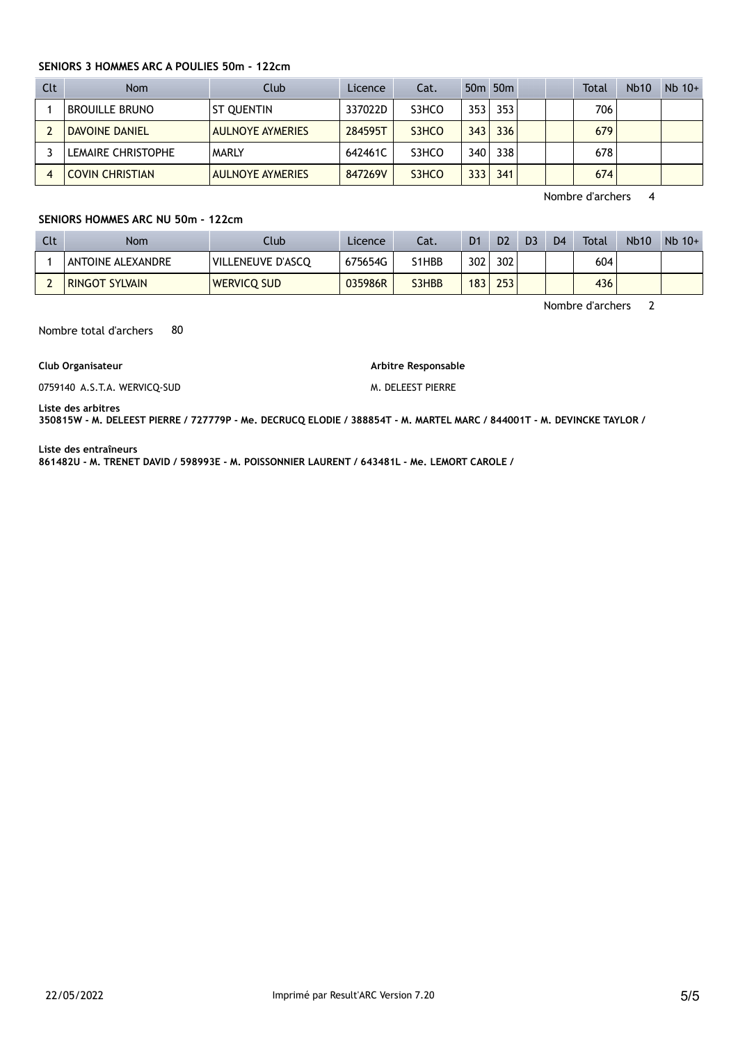#### SENIORS 3 HOMMES ARC A POULIES 50m - 122cm

| Clt | Nom                    | Club                    | Licence | Cat.  |      | 50 <sub>m</sub> 50 <sub>m</sub> |  | Total | <b>Nb10</b> | $Nb$ 10+ |
|-----|------------------------|-------------------------|---------|-------|------|---------------------------------|--|-------|-------------|----------|
|     | <b>BROUILLE BRUNO</b>  | ST QUENTIN              | 337022D | S3HCO | 353  | 353                             |  | 706   |             |          |
|     | DAVOINE DANIEL         | <b>AULNOYE AYMERIES</b> | 284595T | S3HCO | 343  | 336                             |  | 679   |             |          |
|     | LEMAIRE CHRISTOPHE     | <b>MARLY</b>            | 642461C | S3HCO | 340  | 338                             |  | 678   |             |          |
|     | <b>COVIN CHRISTIAN</b> | <b>AULNOYE AYMERIES</b> | 847269V | S3HCO | 3331 | 341                             |  | 674   |             |          |

Nombre d'archers 4

#### SENIORS HOMMES ARC NU 50m - 122cm

| Clt | Nom                   | Club.              | Licence | Cat.  | D <sub>1</sub>   | D <sub>2</sub> | D <sub>3</sub> | D <sub>4</sub> | Total | <b>Nb10</b> | $Nb$ 10+ |
|-----|-----------------------|--------------------|---------|-------|------------------|----------------|----------------|----------------|-------|-------------|----------|
|     | ANTOINE ALEXANDRE     | VILLENEUVE D'ASCQ  | 675654G | S1HBB | 302 <sub>1</sub> | 302            |                |                | 604   |             |          |
|     | <b>RINGOT SYLVAIN</b> | <b>WERVICO SUD</b> | 035986R | S3HBB | 183 <sub>1</sub> | 253            |                |                | 436   |             |          |

Nombre d'archers 2

Nombre total d'archers 80

#### Club Organisateur

0759140 A.S.T.A. WERVICQ-SUD

Arbitre Responsable M. DELEEST PIERRE

Liste des arbitres

350815W - M. DELEEST PIERRE / 727779P - Me. DECRUCQ ELODIE / 388854T - M. MARTEL MARC / 844001T - M. DEVINCKE TAYLOR /

Liste des entraîneurs

861482U - M. TRENET DAVID / 598993E - M. POISSONNIER LAURENT / 643481L - Me. LEMORT CAROLE /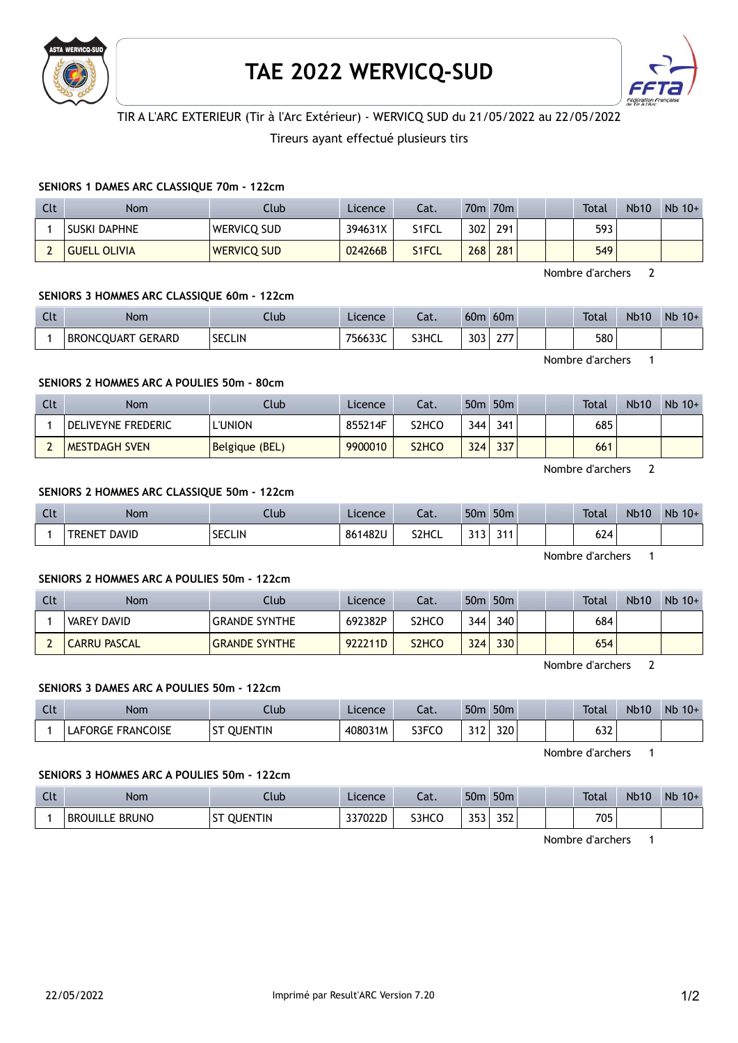

# TAE 2022 WERVICQ-SUD



# TIR A L'ARC EXTERIEUR (Tir à l'Arc Extérieur) - WERVICQ SUD du 21/05/2022 au 22/05/2022

# Tireurs ayant effectué plusieurs tirs

## SENIORS 1 DAMES ARC CLASSIQUE 70m - 122cm

| Clt | Nom                 | Club               | Licence | Cat.  |     | 70 <sub>m</sub> 70 <sub>m</sub> |  | <b>Total</b> | <b>Nb10</b> | $Nb$ 10+ |
|-----|---------------------|--------------------|---------|-------|-----|---------------------------------|--|--------------|-------------|----------|
|     | <b>SUSKI DAPHNE</b> | Wervicq sud        | 394631X | S1FCL | 302 | 291                             |  | 593          |             |          |
|     | <b>GUELL OLIVIA</b> | <b>WERVICQ SUD</b> | 024266B | S1FCL | 268 | 281                             |  | 549          |             |          |

Nombre d'archers 2

## SENIORS 3 HOMMES ARC CLASSIQUE 60m - 122cm

| $\sim$<br><b>CLL</b> | Nom                         | Club          | Licence | $\sim$<br>-aι. | 60 <sub>m</sub> | 60 <sub>m</sub>        |  | <b>Total</b> | <b>Nb10</b> | Nb<br>$10+$ |
|----------------------|-----------------------------|---------------|---------|----------------|-----------------|------------------------|--|--------------|-------------|-------------|
|                      | GERARD<br><b>BRONCOUART</b> | <b>SECLIN</b> | 756633C | S3HCL          | 303             | $\sim$ $-$<br><u>.</u> |  | 580          |             |             |

Nombre d'archers 1

# SENIORS 2 HOMMES ARC A POULIES 50m - 80cm

| Clt | Nom                  | Club           | Licence | Cat.  |     | 50 <sub>m</sub> 50 <sub>m</sub> |  | Total | <b>Nb10</b> | $Nb$ 10+ |
|-----|----------------------|----------------|---------|-------|-----|---------------------------------|--|-------|-------------|----------|
|     | DELIVEYNE FREDERIC   | 'UNION         | 855214F | S2HCO | 344 | 341                             |  | 685   |             |          |
|     | <b>MESTDAGH SVEN</b> | Belgique (BEL) | 9900010 | S2HCO | 324 | 337                             |  | 661   |             |          |

Nombre d'archers 2

## SENIORS 2 HOMMES ARC CLASSIQUE 50m - 122cm

| C14<br><b>CLL</b> | <b>Nom</b>             | Llub          | Licence | Cat.  | 50 <sub>m</sub> | 50 <sub>m</sub>     |  | <b>Total</b> | <b>Nb10</b> | <b>Nb</b><br>$10+$ |
|-------------------|------------------------|---------------|---------|-------|-----------------|---------------------|--|--------------|-------------|--------------------|
|                   | DAVID<br><b>TRENET</b> | <b>SECLIN</b> | 861482U | S2HCL | 242<br>ر ا ر    | $\mathbf{a}$<br>JII |  | 624          |             |                    |

Nombre d'archers 1

# SENIORS 2 HOMMES ARC A POULIES 50m - 122cm

| Clt | Nom                 | Club                 | Licence | Cat.  |     | 50 <sub>m</sub> 50 <sub>m</sub> |  | Total | <b>Nb10</b> | $Nb$ 10+ |
|-----|---------------------|----------------------|---------|-------|-----|---------------------------------|--|-------|-------------|----------|
|     | <b>VAREY DAVID</b>  | <b>GRANDE SYNTHE</b> | 692382P | S2HCC | 344 | 340                             |  | 684   |             |          |
|     | <b>CARRU PASCAL</b> | <b>GRANDE SYNTHE</b> | 922211D | S2HCO | 324 | 330                             |  | 654   |             |          |

Nombre d'archers 2

# SENIORS 3 DAMES ARC A POULIES 50m - 122cm

| Clt | Nom                      | .lub                                  | Licence | $\sim$<br>-aι. | 50 <sub>0</sub> | 50 <sub>m</sub> |  | <b>Total</b>  | <b>Nb10</b> | Nb<br>$10+$ |
|-----|--------------------------|---------------------------------------|---------|----------------|-----------------|-----------------|--|---------------|-------------|-------------|
|     | <b>LAFORGE FRANCOISE</b> | $c_{\rm T}$<br><b>QUENTIN</b><br>بر ح | 408031M | S3FCO          | ີ               | 320             |  | $\sim$<br>∠כס |             |             |

Nombre d'archers 1

#### SENIORS 3 HOMMES ARC A POULIES 50m - 122cm

| Clt | <b>Nom</b>                 | Club           | Licence | $\sim$<br>cal. | 50 <sub>π</sub>     | 50 <sub>m</sub> |  | <b>Total</b> | <b>Nb10</b> | Nb<br>$10+$ |
|-----|----------------------------|----------------|---------|----------------|---------------------|-----------------|--|--------------|-------------|-------------|
|     | . BRUNO<br><b>BROUILLE</b> | <b>OUENTIN</b> | 337022D | S3HCO          | 252<br>JJJ <b>J</b> | ר בר<br>35Z     |  | 705          |             |             |

Nombre d'archers 1